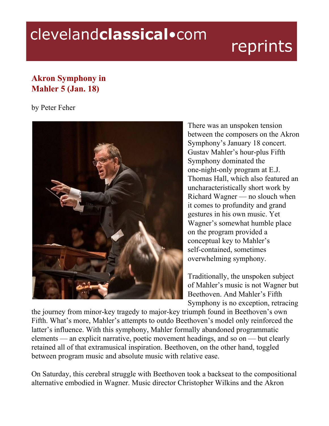## clevelandclassical.com

## reprints

## **Akron Symphony in Mahler 5 (Jan. 18)**

by Peter Feher



There was an unspoken tension between the composers on the Akron Symphony's January 18 concert. Gustav Mahler's hour-plus Fifth Symphony dominated the one-night-only program at E.J. Thomas Hall, which also featured an uncharacteristically short work by Richard Wagner — no slouch when it comes to profundity and grand gestures in his own music. Yet Wagner's somewhat humble place on the program provided a conceptual key to Mahler's self-contained, sometimes overwhelming symphony.

Traditionally, the unspoken subject of Mahler's music is not Wagner but Beethoven. And Mahler's Fifth Symphony is no exception, retracing

the journey from minor-key tragedy to major-key triumph found in Beethoven's own Fifth. What's more, Mahler's attempts to outdo Beethoven's model only reinforced the latter's influence. With this symphony, Mahler formally abandoned programmatic elements — an explicit narrative, poetic movement headings, and so on — but clearly retained all of that extramusical inspiration. Beethoven, on the other hand, toggled between program music and absolute music with relative ease.

On Saturday, this cerebral struggle with Beethoven took a backseat to the compositional alternative embodied in Wagner. Music director Christopher Wilkins and the Akron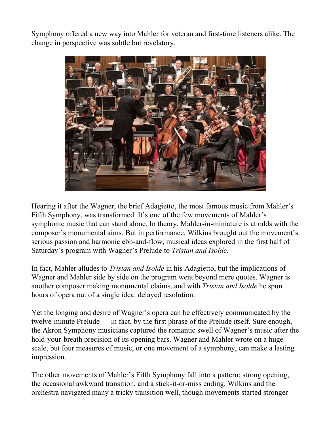Symphony offered a new way into Mahler for veteran and first-time listeners alike. The change in perspective was subtle but revelatory.



Hearing it after the Wagner, the brief Adagietto, the most famous music from Mahler's Fifth Symphony, was transformed. It's one of the few movements of Mahler's symphonic music that can stand alone. In theory, Mahler-in-miniature is at odds with the composer's monumental aims. But in performance, Wilkins brought out the movement's serious passion and harmonic ebb-and-flow, musical ideas explored in the first half of Saturday's program with Wagner's Prelude to *Tristan and Isolde*.

In fact, Mahler alludes to *Tristan and Isolde* in his Adagietto, but the implications of Wagner and Mahler side by side on the program went beyond mere quotes. Wagner is another composer making monumental claims, and with *Tristan and Isolde* he spun hours of opera out of a single idea: delayed resolution.

Yet the longing and desire of Wagner's opera can be effectively communicated by the twelve-minute Prelude — in fact, by the first phrase of the Prelude itself. Sure enough, the Akron Symphony musicians captured the romantic swell of Wagner's music after the hold-your-breath precision of its opening bars. Wagner and Mahler wrote on a huge scale, but four measures of music, or one movement of a symphony, can make a lasting impression.

The other movements of Mahler's Fifth Symphony fall into a pattern: strong opening, the occasional awkward transition, and a stick-it-or-miss ending. Wilkins and the orchestra navigated many a tricky transition well, though movements started stronger